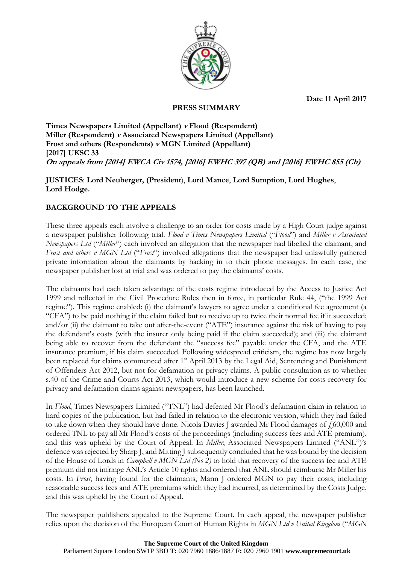**Date 11 April 2017**



**PRESS SUMMARY**

### **Times Newspapers Limited (Appellant) <sup>v</sup> Flood (Respondent) Miller (Respondent) <sup>v</sup> Associated Newspapers Limited (Appellant) Frost and others (Respondents) <sup>v</sup> MGN Limited (Appellant) [2017] UKSC 33 On appeals from [2014] EWCA Civ 1574, [2016] EWHC 397 (QB) and [2016] EWHC 855 (Ch)**

## **JUSTICES**: **Lord Neuberger, (President**), **Lord Mance**, **Lord Sumption**, **Lord Hughes**, **Lord Hodge.**

# **BACKGROUND TO THE APPEALS**

These three appeals each involve a challenge to an order for costs made by a High Court judge against a newspaper publisher following trial. *Flood v Times Newspapers Limited* ("*Flood*") and *Miller v Associated Newspapers Ltd* ("*Miller*") each involved an allegation that the newspaper had libelled the claimant, and *Frost and others v MGN Ltd* ("*Frost*") involved allegations that the newspaper had unlawfully gathered private information about the claimants by hacking in to their phone messages. In each case, the newspaper publisher lost at trial and was ordered to pay the claimants' costs.

The claimants had each taken advantage of the costs regime introduced by the Access to Justice Act 1999 and reflected in the Civil Procedure Rules then in force, in particular Rule 44, ("the 1999 Act regime"). This regime enabled: (i) the claimant's lawyers to agree under a conditional fee agreement (a "CFA") to be paid nothing if the claim failed but to receive up to twice their normal fee if it succeeded; and/or (ii) the claimant to take out after-the-event ("ATE") insurance against the risk of having to pay the defendant's costs (with the insurer only being paid if the claim succeeded); and (iii) the claimant being able to recover from the defendant the "success fee" payable under the CFA, and the ATE insurance premium, if his claim succeeded. Following widespread criticism, the regime has now largely been replaced for claims commenced after 1<sup>st</sup> April 2013 by the Legal Aid, Sentencing and Punishment of Offenders Act 2012, but not for defamation or privacy claims. A public consultation as to whether s.40 of the Crime and Courts Act 2013, which would introduce a new scheme for costs recovery for privacy and defamation claims against newspapers, has been launched.

In *Flood*, Times Newspapers Limited ("TNL") had defeated Mr Flood's defamation claim in relation to hard copies of the publication, but had failed in relation to the electronic version, which they had failed to take down when they should have done. Nicola Davies J awarded Mr Flood damages of  $f$  60,000 and ordered TNL to pay all Mr Flood's costs of the proceedings (including success fees and ATE premium), and this was upheld by the Court of Appeal. In *Miller*, Associated Newspapers Limited ("ANL")'s defence was rejected by Sharp J, and Mitting J subsequently concluded that he was bound by the decision of the House of Lords in *Campbell v MGN Ltd (No 2)* to hold that recovery of the success fee and ATE premium did not infringe ANL's Article 10 rights and ordered that ANL should reimburse Mr Miller his costs. In *Frost*, having found for the claimants, Mann J ordered MGN to pay their costs, including reasonable success fees and ATE premiums which they had incurred, as determined by the Costs Judge, and this was upheld by the Court of Appeal.

The newspaper publishers appealed to the Supreme Court. In each appeal, the newspaper publisher relies upon the decision of the European Court of Human Rights in *MGN Ltd v United Kingdom* ("*MGN*